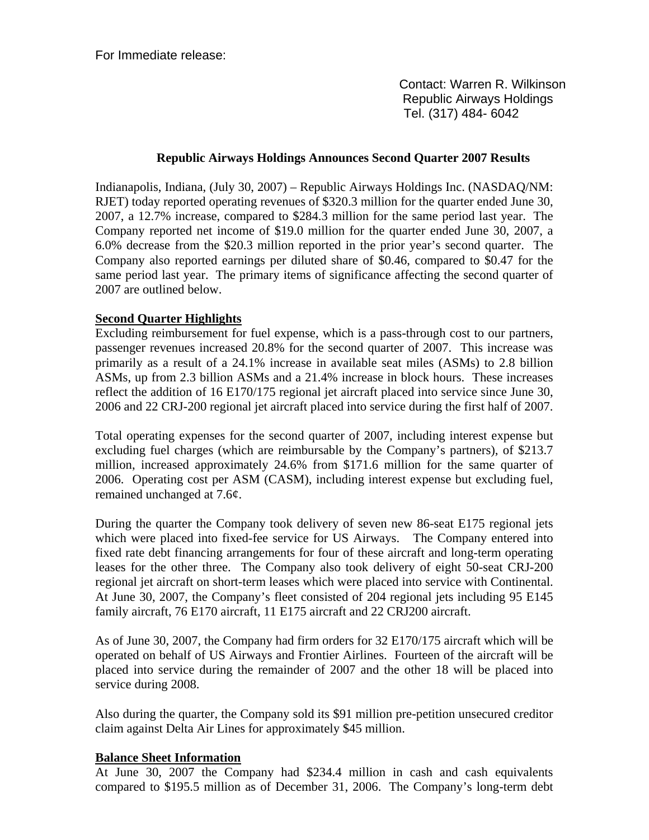For Immediate release:

 Contact: Warren R. Wilkinson Republic Airways Holdings Tel. (317) 484- 6042

### **Republic Airways Holdings Announces Second Quarter 2007 Results**

Indianapolis, Indiana, (July 30, 2007) – Republic Airways Holdings Inc. (NASDAQ/NM: RJET) today reported operating revenues of \$320.3 million for the quarter ended June 30, 2007, a 12.7% increase, compared to \$284.3 million for the same period last year. The Company reported net income of \$19.0 million for the quarter ended June 30, 2007, a 6.0% decrease from the \$20.3 million reported in the prior year's second quarter. The Company also reported earnings per diluted share of \$0.46, compared to \$0.47 for the same period last year. The primary items of significance affecting the second quarter of 2007 are outlined below.

### **Second Quarter Highlights**

Excluding reimbursement for fuel expense, which is a pass-through cost to our partners, passenger revenues increased 20.8% for the second quarter of 2007. This increase was primarily as a result of a 24.1% increase in available seat miles (ASMs) to 2.8 billion ASMs, up from 2.3 billion ASMs and a 21.4% increase in block hours. These increases reflect the addition of 16 E170/175 regional jet aircraft placed into service since June 30, 2006 and 22 CRJ-200 regional jet aircraft placed into service during the first half of 2007.

Total operating expenses for the second quarter of 2007, including interest expense but excluding fuel charges (which are reimbursable by the Company's partners), of \$213.7 million, increased approximately 24.6% from \$171.6 million for the same quarter of 2006. Operating cost per ASM (CASM), including interest expense but excluding fuel, remained unchanged at 7.6¢.

During the quarter the Company took delivery of seven new 86-seat E175 regional jets which were placed into fixed-fee service for US Airways. The Company entered into fixed rate debt financing arrangements for four of these aircraft and long-term operating leases for the other three. The Company also took delivery of eight 50-seat CRJ-200 regional jet aircraft on short-term leases which were placed into service with Continental. At June 30, 2007, the Company's fleet consisted of 204 regional jets including 95 E145 family aircraft, 76 E170 aircraft, 11 E175 aircraft and 22 CRJ200 aircraft.

As of June 30, 2007, the Company had firm orders for 32 E170/175 aircraft which will be operated on behalf of US Airways and Frontier Airlines. Fourteen of the aircraft will be placed into service during the remainder of 2007 and the other 18 will be placed into service during 2008.

Also during the quarter, the Company sold its \$91 million pre-petition unsecured creditor claim against Delta Air Lines for approximately \$45 million.

#### **Balance Sheet Information**

At June 30, 2007 the Company had \$234.4 million in cash and cash equivalents compared to \$195.5 million as of December 31, 2006. The Company's long-term debt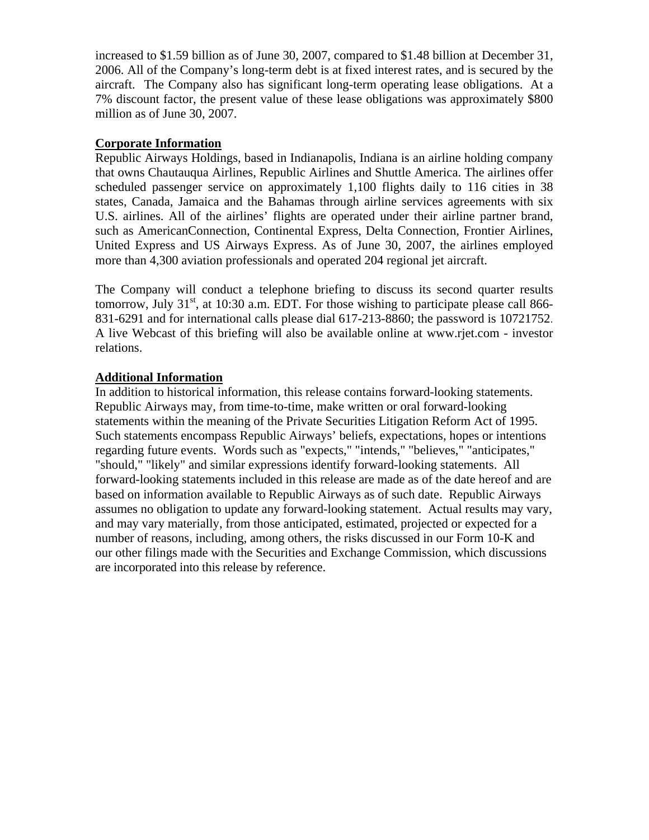increased to \$1.59 billion as of June 30, 2007, compared to \$1.48 billion at December 31, 2006. All of the Company's long-term debt is at fixed interest rates, and is secured by the aircraft. The Company also has significant long-term operating lease obligations. At a 7% discount factor, the present value of these lease obligations was approximately \$800 million as of June 30, 2007.

### **Corporate Information**

Republic Airways Holdings, based in Indianapolis, Indiana is an airline holding company that owns Chautauqua Airlines, Republic Airlines and Shuttle America. The airlines offer scheduled passenger service on approximately 1,100 flights daily to 116 cities in 38 states, Canada, Jamaica and the Bahamas through airline services agreements with six U.S. airlines. All of the airlines' flights are operated under their airline partner brand, such as AmericanConnection, Continental Express, Delta Connection, Frontier Airlines, United Express and US Airways Express. As of June 30, 2007, the airlines employed more than 4,300 aviation professionals and operated 204 regional jet aircraft.

The Company will conduct a telephone briefing to discuss its second quarter results tomorrow, July  $31<sup>st</sup>$ , at 10:30 a.m. EDT. For those wishing to participate please call 866-831-6291 and for international calls please dial 617-213-8860; the password is 10721752. A live Webcast of this briefing will also be available online at www.rjet.com - investor relations.

### **Additional Information**

In addition to historical information, this release contains forward-looking statements. Republic Airways may, from time-to-time, make written or oral forward-looking statements within the meaning of the Private Securities Litigation Reform Act of 1995. Such statements encompass Republic Airways' beliefs, expectations, hopes or intentions regarding future events. Words such as "expects," "intends," "believes," "anticipates," "should," "likely" and similar expressions identify forward-looking statements. All forward-looking statements included in this release are made as of the date hereof and are based on information available to Republic Airways as of such date. Republic Airways assumes no obligation to update any forward-looking statement. Actual results may vary, and may vary materially, from those anticipated, estimated, projected or expected for a number of reasons, including, among others, the risks discussed in our Form 10-K and our other filings made with the Securities and Exchange Commission, which discussions are incorporated into this release by reference.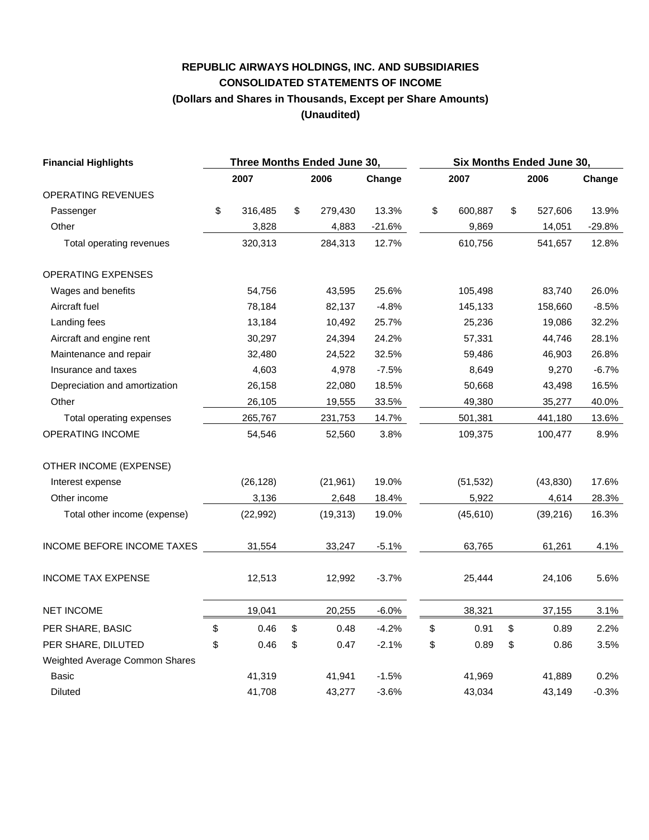# **REPUBLIC AIRWAYS HOLDINGS, INC. AND SUBSIDIARIES CONSOLIDATED STATEMENTS OF INCOME (Dollars and Shares in Thousands, Except per Share Amounts) (Unaudited)**

| <b>Financial Highlights</b>    |    | Three Months Ended June 30, |    |           |          |      | Six Months Ended June 30, |      |           |          |  |
|--------------------------------|----|-----------------------------|----|-----------|----------|------|---------------------------|------|-----------|----------|--|
|                                |    | 2007                        |    | 2006      | Change   | 2007 |                           | 2006 |           | Change   |  |
| OPERATING REVENUES             |    |                             |    |           |          |      |                           |      |           |          |  |
| Passenger                      | \$ | 316,485                     | \$ | 279,430   | 13.3%    | \$   | 600,887                   | \$   | 527,606   | 13.9%    |  |
| Other                          |    | 3,828                       |    | 4,883     | $-21.6%$ |      | 9,869                     |      | 14,051    | $-29.8%$ |  |
| Total operating revenues       |    | 320,313                     |    | 284,313   | 12.7%    |      | 610,756                   |      | 541,657   | 12.8%    |  |
| <b>OPERATING EXPENSES</b>      |    |                             |    |           |          |      |                           |      |           |          |  |
| Wages and benefits             |    | 54,756                      |    | 43,595    | 25.6%    |      | 105,498                   |      | 83,740    | 26.0%    |  |
| Aircraft fuel                  |    | 78,184                      |    | 82,137    | $-4.8%$  |      | 145,133                   |      | 158,660   | $-8.5%$  |  |
| Landing fees                   |    | 13,184                      |    | 10,492    | 25.7%    |      | 25,236                    |      | 19,086    | 32.2%    |  |
| Aircraft and engine rent       |    | 30,297                      |    | 24,394    | 24.2%    |      | 57,331                    |      | 44,746    | 28.1%    |  |
| Maintenance and repair         |    | 32,480                      |    | 24,522    | 32.5%    |      | 59,486                    |      | 46,903    | 26.8%    |  |
| Insurance and taxes            |    | 4,603                       |    | 4,978     | $-7.5%$  |      | 8,649                     |      | 9,270     | $-6.7%$  |  |
| Depreciation and amortization  |    | 26,158                      |    | 22,080    | 18.5%    |      | 50,668                    |      | 43,498    | 16.5%    |  |
| Other                          |    | 26,105                      |    | 19,555    | 33.5%    |      | 49,380                    |      | 35,277    | 40.0%    |  |
| Total operating expenses       |    | 265,767                     |    | 231,753   | 14.7%    |      | 501,381                   |      | 441,180   | 13.6%    |  |
| OPERATING INCOME               |    | 54,546                      |    | 52,560    | 3.8%     |      | 109,375                   |      | 100,477   | 8.9%     |  |
| OTHER INCOME (EXPENSE)         |    |                             |    |           |          |      |                           |      |           |          |  |
| Interest expense               |    | (26, 128)                   |    | (21, 961) | 19.0%    |      | (51, 532)                 |      | (43, 830) | 17.6%    |  |
| Other income                   |    | 3,136                       |    | 2,648     | 18.4%    |      | 5,922                     |      | 4,614     | 28.3%    |  |
| Total other income (expense)   |    | (22, 992)                   |    | (19, 313) | 19.0%    |      | (45, 610)                 |      | (39, 216) | 16.3%    |  |
| INCOME BEFORE INCOME TAXES     |    | 31,554                      |    | 33,247    | $-5.1%$  |      | 63,765                    |      | 61,261    | 4.1%     |  |
| <b>INCOME TAX EXPENSE</b>      |    | 12,513                      |    | 12,992    | $-3.7%$  |      | 25,444                    |      | 24,106    | 5.6%     |  |
| <b>NET INCOME</b>              |    | 19,041                      |    | 20,255    | $-6.0%$  |      | 38,321                    |      | 37,155    | 3.1%     |  |
| PER SHARE, BASIC               | \$ | 0.46                        | \$ | 0.48      | $-4.2%$  | \$   | 0.91                      | \$   | 0.89      | 2.2%     |  |
| PER SHARE, DILUTED             | \$ | 0.46                        | \$ | 0.47      | $-2.1%$  | \$   | 0.89                      | \$   | 0.86      | 3.5%     |  |
| Weighted Average Common Shares |    |                             |    |           |          |      |                           |      |           |          |  |
| Basic                          |    | 41,319                      |    | 41,941    | $-1.5%$  |      | 41,969                    |      | 41,889    | 0.2%     |  |
| <b>Diluted</b>                 |    | 41,708                      |    | 43,277    | $-3.6%$  |      | 43,034                    |      | 43,149    | $-0.3%$  |  |